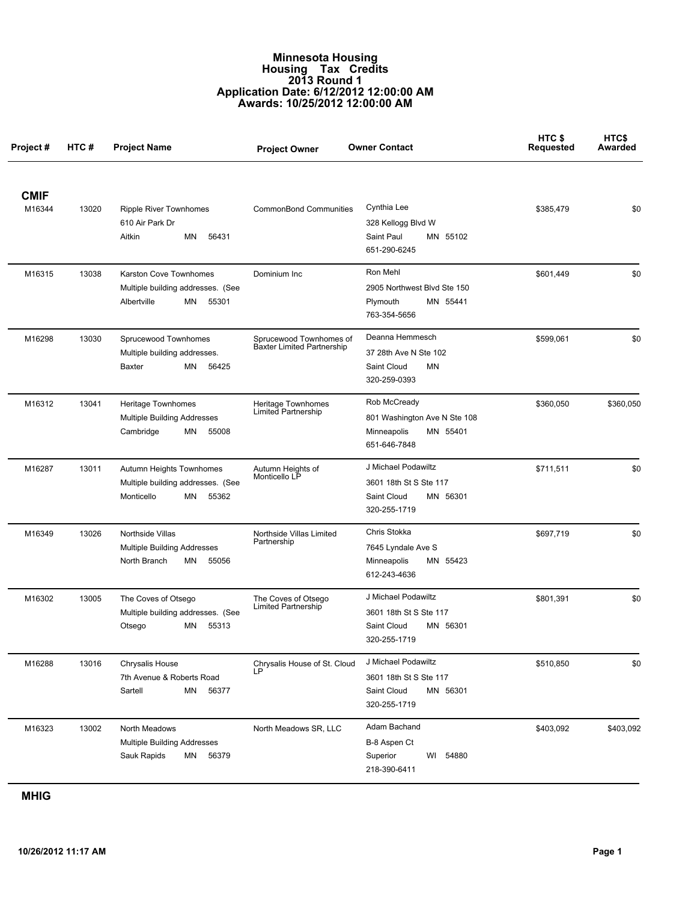## **Minnesota Housing Housing Tax Credits 2013 Round 1 Application Date: 6/12/2012 12:00:00 AM Awards: 10/25/2012 12:00:00 AM**

| Project#              | HTC # | <b>Project Name</b>                                                                        | <b>Project Owner</b>                                         | <b>Owner Contact</b>                                                                     | HTC\$<br><b>Requested</b> | HTC\$<br>Awarded |
|-----------------------|-------|--------------------------------------------------------------------------------------------|--------------------------------------------------------------|------------------------------------------------------------------------------------------|---------------------------|------------------|
| <b>CMIF</b><br>M16344 | 13020 | <b>Ripple River Townhomes</b><br>610 Air Park Dr<br>Aitkin<br>ΜN<br>56431                  | <b>CommonBond Communities</b>                                | Cynthia Lee<br>328 Kellogg Blvd W<br>Saint Paul<br>MN 55102<br>651-290-6245              | \$385.479                 | \$0              |
| M16315                | 13038 | Karston Cove Townhomes<br>Multiple building addresses. (See<br>Albertville<br>MN<br>55301  | Dominium Inc                                                 | Ron Mehl<br>2905 Northwest Blvd Ste 150<br>MN 55441<br>Plymouth<br>763-354-5656          | \$601,449                 | \$0              |
| M16298                | 13030 | Sprucewood Townhomes<br>Multiple building addresses.<br><b>Baxter</b><br>MN<br>56425       | Sprucewood Townhomes of<br><b>Baxter Limited Partnership</b> | Deanna Hemmesch<br>37 28th Ave N Ste 102<br>Saint Cloud<br>ΜN<br>320-259-0393            | \$599,061                 | \$0              |
| M16312                | 13041 | Heritage Townhomes<br>Multiple Building Addresses<br>Cambridge<br>ΜN<br>55008              | Heritage Townhomes<br>Limited Partnership                    | Rob McCready<br>801 Washington Ave N Ste 108<br>MN 55401<br>Minneapolis<br>651-646-7848  | \$360,050                 | \$360,050        |
| M16287                | 13011 | Autumn Heights Townhomes<br>Multiple building addresses. (See<br>Monticello<br>ΜN<br>55362 | Autumn Heights of<br>Monticello LP                           | J Michael Podawiltz<br>3601 18th St S Ste 117<br>Saint Cloud<br>MN 56301<br>320-255-1719 | \$711,511                 | \$0              |
| M16349                | 13026 | Northside Villas<br><b>Multiple Building Addresses</b><br>North Branch<br>55056<br>MN      | Northside Villas Limited<br>Partnership                      | Chris Stokka<br>7645 Lyndale Ave S<br>MN 55423<br>Minneapolis<br>612-243-4636            | \$697,719                 | \$0              |
| M16302                | 13005 | The Coves of Otsego<br>Multiple building addresses. (See<br>Otsego<br>ΜN<br>55313          | The Coves of Otsego<br>Limited Partnership                   | J Michael Podawiltz<br>3601 18th St S Ste 117<br>Saint Cloud<br>MN 56301<br>320-255-1719 | \$801,391                 | \$0              |
| M16288                | 13016 | Chrysalis House<br>7th Avenue & Roberts Road<br>ΜN<br>Sartell<br>56377                     | Chrysalis House of St. Cloud                                 | J Michael Podawiltz<br>3601 18th St S Ste 117<br>Saint Cloud<br>MN 56301<br>320-255-1719 | \$510,850                 | \$0              |
| M16323                | 13002 | North Meadows<br>Multiple Building Addresses<br>Sauk Rapids<br>ΜN<br>56379                 | North Meadows SR, LLC                                        | Adam Bachand<br>B-8 Aspen Ct<br>Superior<br>WI<br>54880<br>218-390-6411                  | \$403,092                 | \$403,092        |

**MHIG**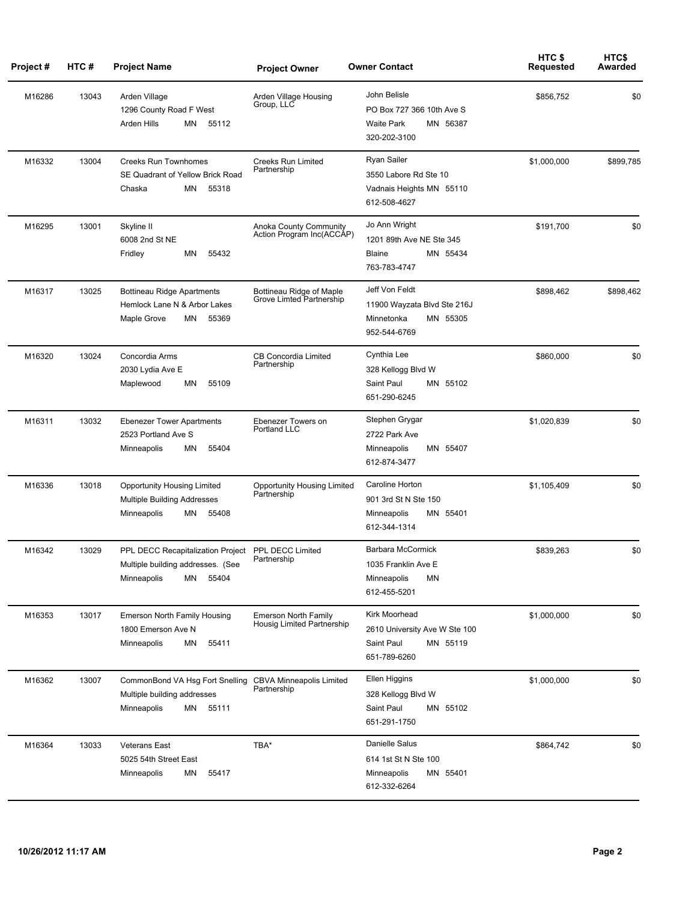| Project# | HTC#  | <b>Project Name</b>                                                                                                   | <b>Project Owner</b>                                      | <b>Owner Contact</b>                                                                       | HTC \$<br>Requested | HTC\$<br>Awarded |
|----------|-------|-----------------------------------------------------------------------------------------------------------------------|-----------------------------------------------------------|--------------------------------------------------------------------------------------------|---------------------|------------------|
| M16286   | 13043 | Arden Village<br>1296 County Road F West<br>Arden Hills<br>ΜN<br>55112                                                | Arden Village Housing<br>Group, LLC                       | John Belisle<br>PO Box 727 366 10th Ave S<br>MN 56387<br><b>Waite Park</b><br>320-202-3100 | \$856,752           | \$0              |
| M16332   | 13004 | <b>Creeks Run Townhomes</b><br>SE Quadrant of Yellow Brick Road<br>Chaska<br>ΜN<br>55318                              | <b>Creeks Run Limited</b><br>Partnership                  | <b>Ryan Sailer</b><br>3550 Labore Rd Ste 10<br>Vadnais Heights MN 55110<br>612-508-4627    | \$1,000,000         | \$899,785        |
| M16295   | 13001 | Skyline II<br>6008 2nd St NE<br>ΜN<br>55432<br>Fridley                                                                | Anoka County Community<br>Action Program Inc(ACCÁP)       | Jo Ann Wright<br>1201 89th Ave NE Ste 345<br><b>Blaine</b><br>MN 55434<br>763-783-4747     | \$191,700           | \$0              |
| M16317   | 13025 | <b>Bottineau Ridge Apartments</b><br>Hemlock Lane N & Arbor Lakes<br>55369<br>Maple Grove<br>ΜN                       | Bottineau Ridge of Maple<br>Grove Limted Partnership      | Jeff Von Feldt<br>11900 Wayzata Blvd Ste 216J<br>MN 55305<br>Minnetonka<br>952-544-6769    | \$898,462           | \$898,462        |
| M16320   | 13024 | Concordia Arms<br>2030 Lydia Ave E<br>55109<br>Maplewood<br>ΜN                                                        | <b>CB Concordia Limited</b><br>Partnership                | Cynthia Lee<br>328 Kellogg Blvd W<br>Saint Paul<br>MN 55102<br>651-290-6245                | \$860,000           | \$0              |
| M16311   | 13032 | <b>Ebenezer Tower Apartments</b><br>2523 Portland Ave S<br>ΜN<br>55404<br>Minneapolis                                 | Ebenezer Towers on<br>Portland LLC                        | Stephen Grygar<br>2722 Park Ave<br>MN 55407<br>Minneapolis<br>612-874-3477                 | \$1,020,839         | \$0              |
| M16336   | 13018 | <b>Opportunity Housing Limited</b><br>Multiple Building Addresses<br>Minneapolis<br>ΜN<br>55408                       | <b>Opportunity Housing Limited</b><br>Partnership         | Caroline Horton<br>901 3rd St N Ste 150<br>MN 55401<br>Minneapolis<br>612-344-1314         | \$1,105,409         | \$0              |
| M16342   | 13029 | PPL DECC Recapitalization Project PPL DECC Limited<br>Multiple building addresses. (See<br>MN<br>55404<br>Minneapolis | Partnership                                               | <b>Barbara McCormick</b><br>1035 Franklin Ave E<br>ΜN<br>Minneapolis<br>612-455-5201       | \$839,263           | \$0              |
| M16353   | 13017 | <b>Emerson North Family Housing</b><br>1800 Emerson Ave N<br>Minneapolis<br>ΜN<br>55411                               | <b>Emerson North Family</b><br>Housig Limited Partnership | Kirk Moorhead<br>2610 University Ave W Ste 100<br>Saint Paul<br>MN 55119<br>651-789-6260   | \$1,000,000         | \$0              |
| M16362   | 13007 | CommonBond VA Hsg Fort Snelling<br>Multiple building addresses<br>Minneapolis<br>ΜN<br>55111                          | <b>CBVA Minneapolis Limited</b><br>Partnership            | Ellen Higgins<br>328 Kellogg Blvd W<br>Saint Paul<br>MN 55102<br>651-291-1750              | \$1,000,000         | \$0              |
| M16364   | 13033 | <b>Veterans East</b><br>5025 54th Street East<br>ΜN<br>55417<br>Minneapolis                                           | TBA*                                                      | Danielle Salus<br>614 1st St N Ste 100<br>Minneapolis<br>MN 55401<br>612-332-6264          | \$864,742           | \$0              |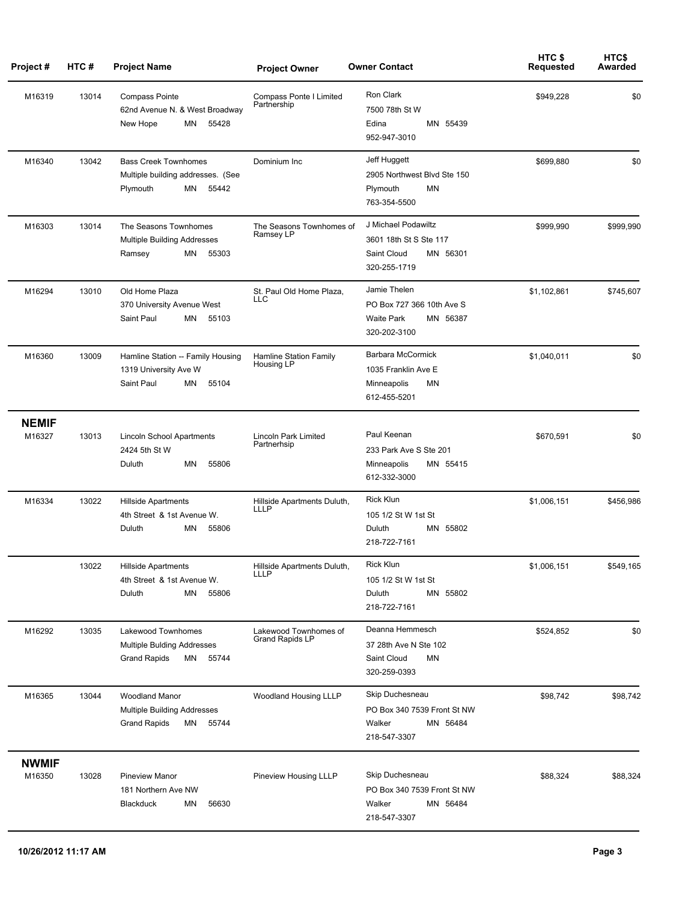| Project#               | HTC#  | <b>Project Name</b>                                                                         | <b>Project Owner</b>                            | <b>Owner Contact</b>                                                                       | HTC\$<br><b>Requested</b> | HTC\$<br>Awarded |
|------------------------|-------|---------------------------------------------------------------------------------------------|-------------------------------------------------|--------------------------------------------------------------------------------------------|---------------------------|------------------|
| M16319                 | 13014 | <b>Compass Pointe</b><br>62nd Avenue N. & West Broadway<br>New Hope<br>ΜN<br>55428          | <b>Compass Ponte I Limited</b><br>Partnership   | Ron Clark<br>7500 78th St W<br>Edina<br>MN 55439<br>952-947-3010                           | \$949,228                 | \$0              |
| M16340                 | 13042 | <b>Bass Creek Townhomes</b><br>Multiple building addresses. (See<br>Plymouth<br>ΜN<br>55442 | Dominium Inc                                    | Jeff Huggett<br>2905 Northwest Blvd Ste 150<br>Plymouth<br>ΜN<br>763-354-5500              | \$699,880                 | \$0              |
| M16303                 | 13014 | The Seasons Townhomes<br>Multiple Building Addresses<br>ΜN<br>55303<br>Ramsey               | The Seasons Townhomes of<br>Ramsey LP           | J Michael Podawiltz<br>3601 18th St S Ste 117<br>Saint Cloud<br>MN 56301<br>320-255-1719   | \$999,990                 | \$999,990        |
| M16294                 | 13010 | Old Home Plaza<br>370 University Avenue West<br>Saint Paul<br>ΜN<br>55103                   | St. Paul Old Home Plaza,<br>LLC                 | Jamie Thelen<br>PO Box 727 366 10th Ave S<br><b>Waite Park</b><br>MN 56387<br>320-202-3100 | \$1,102,861               | \$745,607        |
| M16360                 | 13009 | Hamline Station -- Family Housing<br>1319 University Ave W<br>Saint Paul<br>ΜN<br>55104     | Hamline Station Family<br>Housing LP            | Barbara McCormick<br>1035 Franklin Ave E<br>Minneapolis<br>ΜN<br>612-455-5201              | \$1,040,011               | \$0              |
| <b>NEMIF</b><br>M16327 | 13013 | Lincoln School Apartments<br>2424 5th St W<br>Duluth<br>ΜN<br>55806                         | Lincoln Park Limited<br>Partnerhsip             | Paul Keenan<br>233 Park Ave S Ste 201<br>MN 55415<br>Minneapolis<br>612-332-3000           | \$670,591                 | \$0              |
| M16334                 | 13022 | <b>Hillside Apartments</b><br>4th Street & 1st Avenue W.<br>Duluth<br>ΜN<br>55806           | Hillside Apartments Duluth,<br>LLLP             | <b>Rick Klun</b><br>105 1/2 St W 1st St<br>Duluth<br>MN 55802<br>218-722-7161              | \$1,006,151               | \$456,986        |
|                        | 13022 | Hillside Apartments<br>4th Street & 1st Avenue W.<br>Duluth<br>ΜN<br>55806                  | Hillside Apartments Duluth,<br>LLLP             | Rick Klun<br>105 1/2 St W 1st St<br>Duluth<br>MN 55802<br>218-722-7161                     | \$1,006,151               | \$549,165        |
| M16292                 | 13035 | Lakewood Townhomes<br>Multiple Bulding Addresses<br><b>Grand Rapids</b><br>ΜN<br>55744      | Lakewood Townhomes of<br><b>Grand Rapids LP</b> | Deanna Hemmesch<br>37 28th Ave N Ste 102<br>Saint Cloud<br>ΜN<br>320-259-0393              | \$524,852                 | \$0              |
| M16365                 | 13044 | Woodland Manor<br>Multiple Building Addresses<br><b>Grand Rapids</b><br>55744<br>MN         | Woodland Housing LLLP                           | Skip Duchesneau<br>PO Box 340 7539 Front St NW<br>Walker<br>MN 56484<br>218-547-3307       | \$98,742                  | \$98,742         |
| <b>NWMIF</b><br>M16350 | 13028 | <b>Pineview Manor</b><br>181 Northern Ave NW<br>Blackduck<br>ΜN<br>56630                    | Pineview Housing LLLP                           | Skip Duchesneau<br>PO Box 340 7539 Front St NW<br>Walker<br>MN 56484<br>218-547-3307       | \$88,324                  | \$88,324         |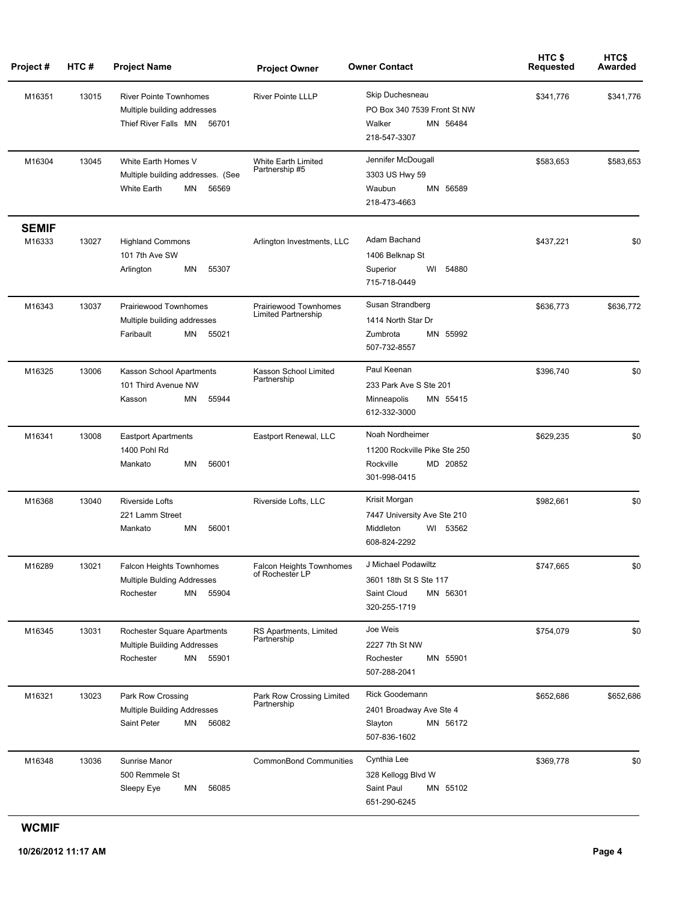| Project#               | HTC#  | <b>Project Name</b>                                                                           | <b>Project Owner</b>                                | <b>Owner Contact</b>                                                                     | HTC\$<br>Requested | HTC\$<br>Awarded |
|------------------------|-------|-----------------------------------------------------------------------------------------------|-----------------------------------------------------|------------------------------------------------------------------------------------------|--------------------|------------------|
| M16351                 | 13015 | <b>River Pointe Townhomes</b><br>Multiple building addresses<br>Thief River Falls MN<br>56701 | <b>River Pointe LLLP</b>                            | Skip Duchesneau<br>PO Box 340 7539 Front St NW<br>Walker<br>MN 56484<br>218-547-3307     | \$341,776          | \$341,776        |
| M16304                 | 13045 | White Earth Homes V<br>Multiple building addresses. (See<br><b>White Earth</b><br>56569<br>ΜN | White Earth Limited<br>Partnership #5               | Jennifer McDougall<br>3303 US Hwy 59<br>Waubun<br>MN 56589<br>218-473-4663               | \$583,653          | \$583,653        |
| <b>SEMIF</b><br>M16333 | 13027 | <b>Highland Commons</b><br>101 7th Ave SW<br>ΜN<br>55307<br>Arlington                         | Arlington Investments, LLC                          | Adam Bachand<br>1406 Belknap St<br>WI<br>54880<br>Superior<br>715-718-0449               | \$437,221          | \$0              |
| M16343                 | 13037 | Prairiewood Townhomes<br>Multiple building addresses<br>Faribault<br>MN<br>55021              | Prairiewood Townhomes<br><b>Limited Partnership</b> | Susan Strandberg<br>1414 North Star Dr<br>MN 55992<br>Zumbrota<br>507-732-8557           | \$636,773          | \$636,772        |
| M16325                 | 13006 | Kasson School Apartments<br>101 Third Avenue NW<br>ΜN<br>55944<br>Kasson                      | Kasson School Limited<br>Partnership                | Paul Keenan<br>233 Park Ave S Ste 201<br>MN 55415<br>Minneapolis<br>612-332-3000         | \$396,740          | \$0              |
| M16341                 | 13008 | <b>Eastport Apartments</b><br>1400 Pohl Rd<br>56001<br>ΜN<br>Mankato                          | Eastport Renewal, LLC                               | Noah Nordheimer<br>11200 Rockville Pike Ste 250<br>Rockville<br>MD 20852<br>301-998-0415 | \$629,235          | \$0              |
| M16368                 | 13040 | <b>Riverside Lofts</b><br>221 Lamm Street<br>56001<br>Mankato<br>ΜN                           | Riverside Lofts, LLC                                | Krisit Morgan<br>7447 University Ave Ste 210<br>Middleton<br>WI 53562<br>608-824-2292    | \$982,661          | \$0              |
| M16289                 | 13021 | Falcon Heights Townhomes<br><b>Multiple Bulding Addresses</b><br>55904<br>Rochester<br>MN     | Falcon Heights Townhomes<br>of Rochester LP         | J Michael Podawiltz<br>3601 18th St S Ste 117<br>Saint Cloud<br>MN 56301<br>320-255-1719 | \$747,665          | \$0              |
| M16345                 | 13031 | Rochester Square Apartments<br>Multiple Building Addresses<br>Rochester<br>MN<br>55901        | RS Apartments, Limited<br>Partnership               | Joe Weis<br>2227 7th St NW<br>MN 55901<br>Rochester<br>507-288-2041                      | \$754,079          | \$0              |
| M16321                 | 13023 | Park Row Crossing<br>Multiple Building Addresses<br>Saint Peter<br>MN<br>56082                | Park Row Crossing Limited<br>Partnership            | Rick Goodemann<br>2401 Broadway Ave Ste 4<br>MN 56172<br>Slayton<br>507-836-1602         | \$652,686          | \$652,686        |
| M16348                 | 13036 | Sunrise Manor<br>500 Remmele St<br>Sleepy Eye<br>56085<br>ΜN                                  | <b>CommonBond Communities</b>                       | Cynthia Lee<br>328 Kellogg Blvd W<br>Saint Paul<br>MN 55102<br>651-290-6245              | \$369,778          | \$0              |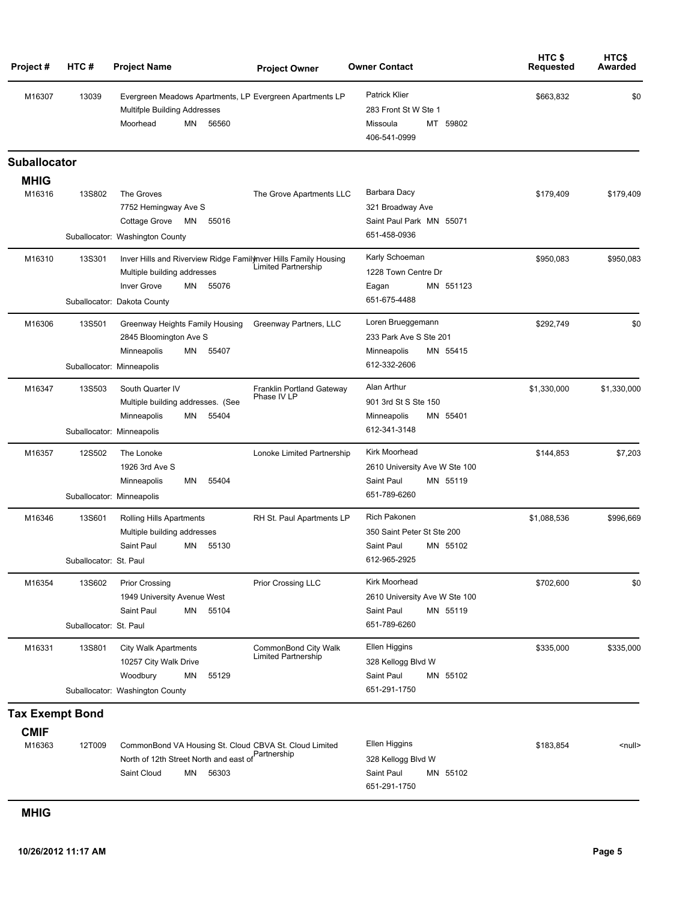| Project#               | HTC#                             | <b>Project Name</b>                                                                                                                           | <b>Project Owner</b>                        | <b>Owner Contact</b>                                                                     | HTC <sub>\$</sub><br><b>Requested</b> | HTC\$<br>Awarded |
|------------------------|----------------------------------|-----------------------------------------------------------------------------------------------------------------------------------------------|---------------------------------------------|------------------------------------------------------------------------------------------|---------------------------------------|------------------|
| M16307                 | 13039                            | Evergreen Meadows Apartments, LP Evergreen Apartments LP<br><b>Multifple Building Addresses</b><br>Moorhead<br>ΜN<br>56560                    |                                             | <b>Patrick Klier</b><br>283 Front St W Ste 1<br>MT 59802<br>Missoula<br>406-541-0999     | \$663,832                             | \$0              |
| Suballocator           |                                  |                                                                                                                                               |                                             |                                                                                          |                                       |                  |
| <b>MHIG</b>            |                                  |                                                                                                                                               |                                             |                                                                                          |                                       |                  |
| M16316                 | 13S802                           | The Groves<br>7752 Hemingway Ave S<br>Cottage Grove<br>ΜN<br>55016                                                                            | The Grove Apartments LLC                    | Barbara Dacy<br>321 Broadway Ave<br>Saint Paul Park MN 55071<br>651-458-0936             | \$179,409                             | \$179,409        |
|                        |                                  | Suballocator: Washington County                                                                                                               |                                             |                                                                                          |                                       |                  |
| M16310                 | <b>13S301</b>                    | Inver Hills and Riverview Ridge Familynver Hills Family Housing<br>Multiple building addresses<br><b>Inver Grove</b><br>ΜN<br>55076           | Limited Partnership                         | Karly Schoeman<br>1228 Town Centre Dr<br>MN 551123<br>Eagan                              | \$950,083                             | \$950,083        |
|                        |                                  | Suballocator: Dakota County                                                                                                                   |                                             | 651-675-4488                                                                             |                                       |                  |
| M16306                 | <b>13S501</b>                    | Greenway Heights Family Housing<br>2845 Bloomington Ave S<br>55407<br>Minneapolis<br>ΜN<br>Suballocator: Minneapolis                          | Greenway Partners, LLC                      | Loren Brueggemann<br>233 Park Ave S Ste 201<br>Minneapolis<br>MN 55415<br>612-332-2606   | \$292,749                             | \$0              |
| M16347                 | <b>13S503</b>                    | South Quarter IV<br>Multiple building addresses. (See<br>55404<br>Minneapolis<br>ΜN                                                           | Franklin Portland Gateway<br>Phase IV LP    | Alan Arthur<br>901 3rd St S Ste 150<br>Minneapolis<br>MN 55401                           | \$1,330,000                           | \$1,330,000      |
|                        |                                  | Suballocator: Minneapolis                                                                                                                     |                                             | 612-341-3148                                                                             |                                       |                  |
| M16357                 | 12S502                           | The Lonoke<br>1926 3rd Ave S<br>55404<br>Minneapolis<br>ΜN<br>Suballocator: Minneapolis                                                       | Lonoke Limited Partnership                  | Kirk Moorhead<br>2610 University Ave W Ste 100<br>Saint Paul<br>MN 55119<br>651-789-6260 | \$144,853                             | \$7,203          |
| M16346                 | <b>13S601</b>                    | <b>Rolling Hills Apartments</b><br>Multiple building addresses<br>Saint Paul<br>55130<br>ΜN                                                   | RH St. Paul Apartments LP                   | <b>Rich Pakonen</b><br>350 Saint Peter St Ste 200<br>Saint Paul<br>MN 55102              | \$1,088,536                           | \$996,669        |
|                        | Suballocator: St. Paul           |                                                                                                                                               |                                             | 612-965-2925                                                                             |                                       |                  |
| M16354                 | 13S602<br>Suballocator: St. Paul | <b>Prior Crossing</b><br>1949 University Avenue West<br>Saint Paul<br>MN<br>55104                                                             | Prior Crossing LLC                          | Kirk Moorhead<br>2610 University Ave W Ste 100<br>Saint Paul<br>MN 55119<br>651-789-6260 | \$702,600                             | \$0              |
| M16331                 | <b>13S801</b>                    | <b>City Walk Apartments</b><br>10257 City Walk Drive<br>Woodbury<br>ΜN<br>55129<br>Suballocator: Washington County                            | CommonBond City Walk<br>Limited Partnership | Ellen Higgins<br>328 Kellogg Blvd W<br>Saint Paul<br>MN 55102<br>651-291-1750            | \$335,000                             | \$335,000        |
|                        |                                  |                                                                                                                                               |                                             |                                                                                          |                                       |                  |
| <b>Tax Exempt Bond</b> |                                  |                                                                                                                                               |                                             |                                                                                          |                                       |                  |
| <b>CMIF</b><br>M16363  | 12T009                           | CommonBond VA Housing St. Cloud CBVA St. Cloud Limited<br>Partnership<br>North of 12th Street North and east of<br>Saint Cloud<br>ΜN<br>56303 |                                             | Ellen Higgins<br>328 Kellogg Blvd W<br>Saint Paul<br>MN 55102<br>651-291-1750            | \$183,854                             | <null></null>    |

## **MHIG**